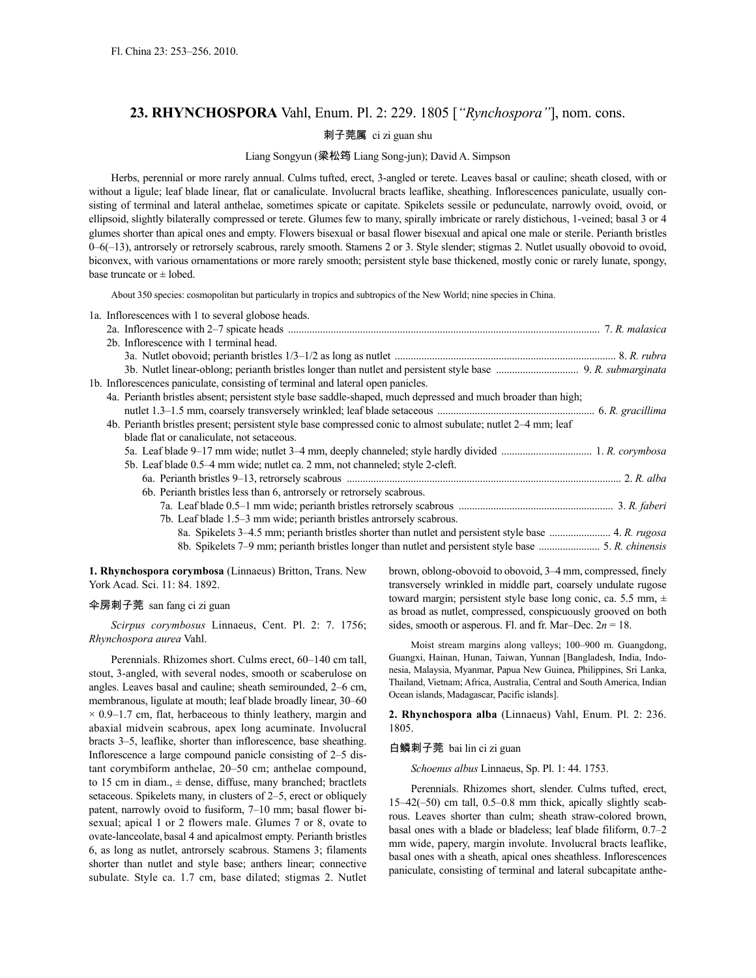# **23. RHYNCHOSPORA** Vahl, Enum. Pl. 2: 229. 1805 [*"Rynchospora"*], nom. cons.

# 刺子莞属 ci zi guan shu

### Liang Songyun (梁松筠 Liang Song-jun); David A. Simpson

Herbs, perennial or more rarely annual. Culms tufted, erect, 3-angled or terete. Leaves basal or cauline; sheath closed, with or without a ligule; leaf blade linear, flat or canaliculate. Involucral bracts leaflike, sheathing. Inflorescences paniculate, usually consisting of terminal and lateral anthelae, sometimes spicate or capitate. Spikelets sessile or pedunculate, narrowly ovoid, ovoid, or ellipsoid, slightly bilaterally compressed or terete. Glumes few to many, spirally imbricate or rarely distichous, 1-veined; basal 3 or 4 glumes shorter than apical ones and empty. Flowers bisexual or basal flower bisexual and apical one male or sterile. Perianth bristles 0–6(–13), antrorsely or retrorsely scabrous, rarely smooth. Stamens 2 or 3. Style slender; stigmas 2. Nutlet usually obovoid to ovoid, biconvex, with various ornamentations or more rarely smooth; persistent style base thickened, mostly conic or rarely lunate, spongy, base truncate or  $\pm$  lobed.

About 350 species: cosmopolitan but particularly in tropics and subtropics of the New World; nine species in China.

| 1a. Inflorescences with 1 to several globose heads.                                                           |  |
|---------------------------------------------------------------------------------------------------------------|--|
|                                                                                                               |  |
| 2b. Inflorescence with 1 terminal head.                                                                       |  |
|                                                                                                               |  |
|                                                                                                               |  |
| 1b. Inflorescences paniculate, consisting of terminal and lateral open panicles.                              |  |
| 4a. Perianth bristles absent; persistent style base saddle-shaped, much depressed and much broader than high; |  |
|                                                                                                               |  |
| 4b. Perianth bristles present; persistent style base compressed conic to almost subulate; nutlet 2-4 mm; leaf |  |
| blade flat or canaliculate, not set ceous.                                                                    |  |
|                                                                                                               |  |
| 5b. Leaf blade 0.5–4 mm wide; nutlet ca. 2 mm, not channeled; style 2-cleft.                                  |  |
| 6a. Perianth bristles 9-13, retrorsely scabrous manufactured and content and properties 2. R. alba            |  |
| 6b. Perianth bristles less than 6, antrorsely or retrorsely scabrous.                                         |  |
|                                                                                                               |  |
| 7b. Leaf blade 1.5–3 mm wide; perianth bristles antrorsely scabrous.                                          |  |
|                                                                                                               |  |
|                                                                                                               |  |

**1. Rhynchospora corymbosa** (Linnaeus) Britton, Trans. New York Acad. Sci. 11: 84. 1892.

#### 伞房刺子莞 san fang ci zi guan

*Scirpus corymbosus* Linnaeus, Cent. Pl. 2: 7. 1756; *Rhynchospora aurea* Vahl.

Perennials. Rhizomes short. Culms erect, 60–140 cm tall, stout, 3-angled, with several nodes, smooth or scaberulose on angles. Leaves basal and cauline; sheath semirounded, 2–6 cm, membranous, ligulate at mouth; leaf blade broadly linear, 30–60  $\times$  0.9–1.7 cm, flat, herbaceous to thinly leathery, margin and abaxial midvein scabrous, apex long acuminate. Involucral bracts 3–5, leaflike, shorter than inflorescence, base sheathing. Inflorescence a large compound panicle consisting of 2–5 distant corymbiform anthelae, 20–50 cm; anthelae compound, to 15 cm in diam.,  $\pm$  dense, diffuse, many branched; bractlets setaceous. Spikelets many, in clusters of 2–5, erect or obliquely patent, narrowly ovoid to fusiform, 7–10 mm; basal flower bisexual; apical 1 or 2 flowers male. Glumes 7 or 8, ovate to ovate-lanceolate, basal 4 and apicalmost empty. Perianth bristles 6, as long as nutlet, antrorsely scabrous. Stamens 3; filaments shorter than nutlet and style base; anthers linear; connective subulate. Style ca. 1.7 cm, base dilated; stigmas 2. Nutlet brown, oblong-obovoid to obovoid, 3–4 mm, compressed, finely transversely wrinkled in middle part, coarsely undulate rugose toward margin; persistent style base long conic, ca. 5.5 mm, ± as broad as nutlet, compressed, conspicuously grooved on both sides, smooth or asperous. Fl. and fr. Mar–Dec. 2*n* = 18.

Moist stream margins along valleys; 100–900 m. Guangdong, Guangxi, Hainan, Hunan, Taiwan, Yunnan [Bangladesh, India, Indonesia, Malaysia, Myanmar, Papua New Guinea, Philippines, Sri Lanka, Thailand, Vietnam; Africa, Australia, Central and South America, Indian Ocean islands, Madagascar, Pacific islands].

**2. Rhynchospora alba** (Linnaeus) Vahl, Enum. Pl. 2: 236. 1805.

#### 白鳞刺子莞 bai lin ci zi guan

*Schoenus albus* Linnaeus, Sp. Pl. 1: 44. 1753.

Perennials. Rhizomes short, slender. Culms tufted, erect, 15–42(–50) cm tall, 0.5–0.8 mm thick, apically slightly scabrous. Leaves shorter than culm; sheath straw-colored brown, basal ones with a blade or bladeless; leaf blade filiform, 0.7–2 mm wide, papery, margin involute. Involucral bracts leaflike, basal ones with a sheath, apical ones sheathless. Inflorescences paniculate, consisting of terminal and lateral subcapitate anthe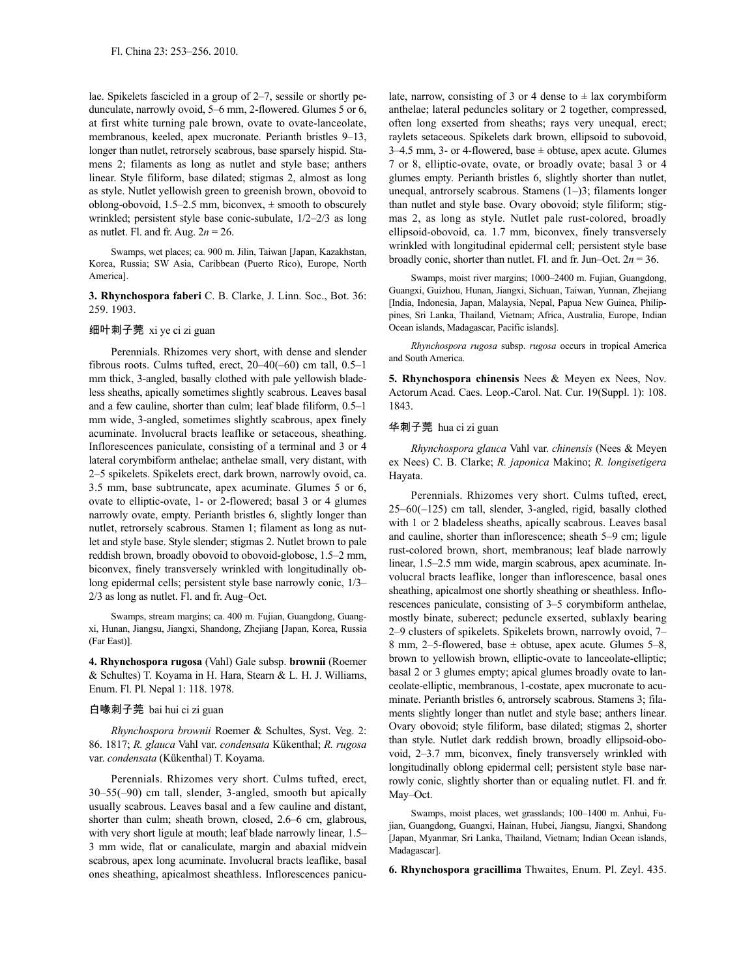lae. Spikelets fascicled in a group of 2–7, sessile or shortly pedunculate, narrowly ovoid, 5–6 mm, 2-flowered. Glumes 5 or 6, at first white turning pale brown, ovate to ovate-lanceolate, membranous, keeled, apex mucronate. Perianth bristles 9–13, longer than nutlet, retrorsely scabrous, base sparsely hispid. Stamens 2; filaments as long as nutlet and style base; anthers linear. Style filiform, base dilated; stigmas 2, almost as long as style. Nutlet yellowish green to greenish brown, obovoid to oblong-obovoid,  $1.5-2.5$  mm, biconvex,  $\pm$  smooth to obscurely wrinkled; persistent style base conic-subulate, 1/2–2/3 as long as nutlet. Fl. and fr. Aug. 2*n* = 26.

Swamps, wet places; ca. 900 m. Jilin, Taiwan [Japan, Kazakhstan, Korea, Russia; SW Asia, Caribbean (Puerto Rico), Europe, North America].

**3. Rhynchospora faberi** C. B. Clarke, J. Linn. Soc., Bot. 36: 259. 1903.

#### 细叶刺子莞 xi ye ci zi guan

Perennials. Rhizomes very short, with dense and slender fibrous roots. Culms tufted, erect, 20–40(–60) cm tall, 0.5–1 mm thick, 3-angled, basally clothed with pale yellowish bladeless sheaths, apically sometimes slightly scabrous. Leaves basal and a few cauline, shorter than culm; leaf blade filiform, 0.5–1 mm wide, 3-angled, sometimes slightly scabrous, apex finely acuminate. Involucral bracts leaflike or setaceous, sheathing. Inflorescences paniculate, consisting of a terminal and 3 or 4 lateral corymbiform anthelae; anthelae small, very distant, with 2–5 spikelets. Spikelets erect, dark brown, narrowly ovoid, ca. 3.5 mm, base subtruncate, apex acuminate. Glumes 5 or 6, ovate to elliptic-ovate, 1- or 2-flowered; basal 3 or 4 glumes narrowly ovate, empty. Perianth bristles 6, slightly longer than nutlet, retrorsely scabrous. Stamen 1; filament as long as nutlet and style base. Style slender; stigmas 2. Nutlet brown to pale reddish brown, broadly obovoid to obovoid-globose, 1.5–2 mm, biconvex, finely transversely wrinkled with longitudinally oblong epidermal cells; persistent style base narrowly conic, 1/3– 2/3 as long as nutlet. Fl. and fr. Aug–Oct.

Swamps, stream margins; ca. 400 m. Fujian, Guangdong, Guangxi, Hunan, Jiangsu, Jiangxi, Shandong, Zhejiang [Japan, Korea, Russia (Far East)].

**4. Rhynchospora rugosa** (Vahl) Gale subsp. **brownii** (Roemer & Schultes) T. Koyama in H. Hara, Stearn & L. H. J. Williams, Enum. Fl. Pl. Nepal 1: 118. 1978.

#### 白喙刺子莞 bai hui ci zi guan

*Rhynchospora brownii* Roemer & Schultes, Syst. Veg. 2: 86. 1817; *R. glauca* Vahl var. *condensata* Kükenthal; *R. rugosa* var. *condensata* (Kükenthal) T. Koyama.

Perennials. Rhizomes very short. Culms tufted, erect, 30–55(–90) cm tall, slender, 3-angled, smooth but apically usually scabrous. Leaves basal and a few cauline and distant, shorter than culm; sheath brown, closed, 2.6–6 cm, glabrous, with very short ligule at mouth; leaf blade narrowly linear, 1.5– 3 mm wide, flat or canaliculate, margin and abaxial midvein scabrous, apex long acuminate. Involucral bracts leaflike, basal ones sheathing, apicalmost sheathless. Inflorescences paniculate, narrow, consisting of 3 or 4 dense to  $\pm$  lax corymbiform anthelae; lateral peduncles solitary or 2 together, compressed, often long exserted from sheaths; rays very unequal, erect; raylets setaceous. Spikelets dark brown, ellipsoid to subovoid, 3–4.5 mm, 3- or 4-flowered, base  $\pm$  obtuse, apex acute. Glumes 7 or 8, elliptic-ovate, ovate, or broadly ovate; basal 3 or 4 glumes empty. Perianth bristles 6, slightly shorter than nutlet, unequal, antrorsely scabrous. Stamens (1–)3; filaments longer than nutlet and style base. Ovary obovoid; style filiform; stigmas 2, as long as style. Nutlet pale rust-colored, broadly ellipsoid-obovoid, ca. 1.7 mm, biconvex, finely transversely wrinkled with longitudinal epidermal cell; persistent style base broadly conic, shorter than nutlet. Fl. and fr. Jun–Oct. 2*n* = 36.

Swamps, moist river margins; 1000–2400 m. Fujian, Guangdong, Guangxi, Guizhou, Hunan, Jiangxi, Sichuan, Taiwan, Yunnan, Zhejiang [India, Indonesia, Japan, Malaysia, Nepal, Papua New Guinea, Philippines, Sri Lanka, Thailand, Vietnam; Africa, Australia, Europe, Indian Ocean islands, Madagascar, Pacific islands].

*Rhynchospora rugosa* subsp. *rugosa* occurs in tropical America and South America.

**5. Rhynchospora chinensis** Nees & Meyen ex Nees, Nov. Actorum Acad. Caes. Leop.-Carol. Nat. Cur. 19(Suppl. 1): 108. 1843.

# 华刺子莞 hua ci zi guan

*Rhynchospora glauca* Vahl var. *chinensis* (Nees & Meyen ex Nees) C. B. Clarke; *R. japonica* Makino; *R. longisetigera* Hayata.

Perennials. Rhizomes very short. Culms tufted, erect, 25–60(–125) cm tall, slender, 3-angled, rigid, basally clothed with 1 or 2 bladeless sheaths, apically scabrous. Leaves basal and cauline, shorter than inflorescence; sheath 5–9 cm; ligule rust-colored brown, short, membranous; leaf blade narrowly linear, 1.5–2.5 mm wide, margin scabrous, apex acuminate. Involucral bracts leaflike, longer than inflorescence, basal ones sheathing, apicalmost one shortly sheathing or sheathless. Inflorescences paniculate, consisting of 3–5 corymbiform anthelae, mostly binate, suberect; peduncle exserted, sublaxly bearing 2–9 clusters of spikelets. Spikelets brown, narrowly ovoid, 7– 8 mm, 2–5-flowered, base  $\pm$  obtuse, apex acute. Glumes 5–8, brown to yellowish brown, elliptic-ovate to lanceolate-elliptic; basal 2 or 3 glumes empty; apical glumes broadly ovate to lanceolate-elliptic, membranous, 1-costate, apex mucronate to acuminate. Perianth bristles 6, antrorsely scabrous. Stamens 3; filaments slightly longer than nutlet and style base; anthers linear. Ovary obovoid; style filiform, base dilated; stigmas 2, shorter than style. Nutlet dark reddish brown, broadly ellipsoid-obovoid, 2–3.7 mm, biconvex, finely transversely wrinkled with longitudinally oblong epidermal cell; persistent style base narrowly conic, slightly shorter than or equaling nutlet. Fl. and fr. May–Oct.

Swamps, moist places, wet grasslands; 100–1400 m. Anhui, Fujian, Guangdong, Guangxi, Hainan, Hubei, Jiangsu, Jiangxi, Shandong [Japan, Myanmar, Sri Lanka, Thailand, Vietnam; Indian Ocean islands, Madagascar].

**6. Rhynchospora gracillima** Thwaites, Enum. Pl. Zeyl. 435.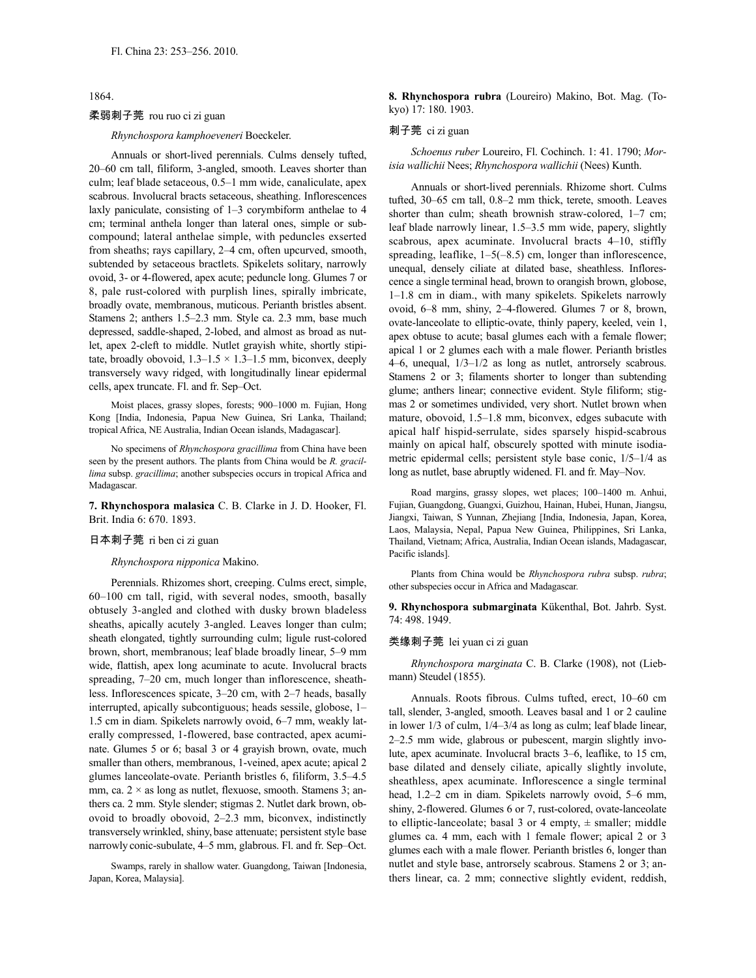1864.

## 柔弱刺子莞 rou ruo ci zi guan

*Rhynchospora kamphoeveneri* Boeckeler.

Annuals or short-lived perennials. Culms densely tufted, 20–60 cm tall, filiform, 3-angled, smooth. Leaves shorter than culm; leaf blade setaceous, 0.5–1 mm wide, canaliculate, apex scabrous. Involucral bracts setaceous, sheathing. Inflorescences laxly paniculate, consisting of 1–3 corymbiform anthelae to 4 cm; terminal anthela longer than lateral ones, simple or subcompound; lateral anthelae simple, with peduncles exserted from sheaths; rays capillary, 2–4 cm, often upcurved, smooth, subtended by setaceous bractlets. Spikelets solitary, narrowly ovoid, 3- or 4-flowered, apex acute; peduncle long. Glumes 7 or 8, pale rust-colored with purplish lines, spirally imbricate, broadly ovate, membranous, muticous. Perianth bristles absent. Stamens 2; anthers 1.5–2.3 mm. Style ca. 2.3 mm, base much depressed, saddle-shaped, 2-lobed, and almost as broad as nutlet, apex 2-cleft to middle. Nutlet grayish white, shortly stipitate, broadly obovoid,  $1.3-1.5 \times 1.3-1.5$  mm, biconvex, deeply transversely wavy ridged, with longitudinally linear epidermal cells, apex truncate. Fl. and fr. Sep–Oct.

Moist places, grassy slopes, forests; 900–1000 m. Fujian, Hong Kong [India, Indonesia, Papua New Guinea, Sri Lanka, Thailand; tropical Africa, NE Australia, Indian Ocean islands, Madagascar].

No specimens of *Rhynchospora gracillima* from China have been seen by the present authors. The plants from China would be *R. gracillima* subsp. *gracillima*; another subspecies occurs in tropical Africa and Madagascar.

**7. Rhynchospora malasica** C. B. Clarke in J. D. Hooker, Fl. Brit. India 6: 670. 1893.

#### 日本刺子莞 ri ben ci zi guan

*Rhynchospora nipponica* Makino.

Perennials. Rhizomes short, creeping. Culms erect, simple, 60–100 cm tall, rigid, with several nodes, smooth, basally obtusely 3-angled and clothed with dusky brown bladeless sheaths, apically acutely 3-angled. Leaves longer than culm; sheath elongated, tightly surrounding culm; ligule rust-colored brown, short, membranous; leaf blade broadly linear, 5–9 mm wide, flattish, apex long acuminate to acute. Involucral bracts spreading, 7–20 cm, much longer than inflorescence, sheathless. Inflorescences spicate, 3–20 cm, with 2–7 heads, basally interrupted, apically subcontiguous; heads sessile, globose, 1– 1.5 cm in diam. Spikelets narrowly ovoid, 6–7 mm, weakly laterally compressed, 1-flowered, base contracted, apex acuminate. Glumes 5 or 6; basal 3 or 4 grayish brown, ovate, much smaller than others, membranous, 1-veined, apex acute; apical 2 glumes lanceolate-ovate. Perianth bristles 6, filiform, 3.5–4.5 mm, ca.  $2 \times$  as long as nutlet, flexuose, smooth. Stamens 3; anthers ca. 2 mm. Style slender; stigmas 2. Nutlet dark brown, obovoid to broadly obovoid, 2–2.3 mm, biconvex, indistinctly transversely wrinkled, shiny, base attenuate; persistent style base narrowly conic-subulate, 4–5 mm, glabrous. Fl. and fr. Sep–Oct.

Swamps, rarely in shallow water. Guangdong, Taiwan [Indonesia, Japan, Korea, Malaysia].

**8. Rhynchospora rubra** (Loureiro) Makino, Bot. Mag. (Tokyo) 17: 180. 1903.

#### 刺子莞 ci zi guan

*Schoenus ruber* Loureiro, Fl. Cochinch. 1: 41. 1790; *Morisia wallichii* Nees; *Rhynchospora wallichii* (Nees) Kunth.

Annuals or short-lived perennials. Rhizome short. Culms tufted, 30–65 cm tall, 0.8–2 mm thick, terete, smooth. Leaves shorter than culm; sheath brownish straw-colored, 1–7 cm; leaf blade narrowly linear, 1.5–3.5 mm wide, papery, slightly scabrous, apex acuminate. Involucral bracts 4–10, stiffly spreading, leaflike,  $1-5(-8.5)$  cm, longer than inflorescence, unequal, densely ciliate at dilated base, sheathless. Inflorescence a single terminal head, brown to orangish brown, globose, 1–1.8 cm in diam., with many spikelets. Spikelets narrowly ovoid, 6–8 mm, shiny, 2–4-flowered. Glumes 7 or 8, brown, ovate-lanceolate to elliptic-ovate, thinly papery, keeled, vein 1, apex obtuse to acute; basal glumes each with a female flower; apical 1 or 2 glumes each with a male flower. Perianth bristles 4–6, unequal, 1/3–1/2 as long as nutlet, antrorsely scabrous. Stamens 2 or 3; filaments shorter to longer than subtending glume; anthers linear; connective evident. Style filiform; stigmas 2 or sometimes undivided, very short. Nutlet brown when mature, obovoid, 1.5–1.8 mm, biconvex, edges subacute with apical half hispid-serrulate, sides sparsely hispid-scabrous mainly on apical half, obscurely spotted with minute isodiametric epidermal cells; persistent style base conic, 1/5–1/4 as long as nutlet, base abruptly widened. Fl. and fr. May–Nov.

Road margins, grassy slopes, wet places; 100–1400 m. Anhui, Fujian, Guangdong, Guangxi, Guizhou, Hainan, Hubei, Hunan, Jiangsu, Jiangxi, Taiwan, S Yunnan, Zhejiang [India, Indonesia, Japan, Korea, Laos, Malaysia, Nepal, Papua New Guinea, Philippines, Sri Lanka, Thailand, Vietnam; Africa, Australia, Indian Ocean islands, Madagascar, Pacific islands].

Plants from China would be *Rhynchospora rubra* subsp. *rubra*; other subspecies occur in Africa and Madagascar.

**9. Rhynchospora submarginata** Kükenthal, Bot. Jahrb. Syst. 74: 498. 1949.

#### 类缘刺子莞 lei yuan ci zi guan

*Rhynchospora marginata* C. B. Clarke (1908), not (Liebmann) Steudel (1855).

Annuals. Roots fibrous. Culms tufted, erect, 10–60 cm tall, slender, 3-angled, smooth. Leaves basal and 1 or 2 cauline in lower 1/3 of culm, 1/4–3/4 as long as culm; leaf blade linear, 2–2.5 mm wide, glabrous or pubescent, margin slightly involute, apex acuminate. Involucral bracts 3–6, leaflike, to 15 cm, base dilated and densely ciliate, apically slightly involute, sheathless, apex acuminate. Inflorescence a single terminal head, 1.2–2 cm in diam. Spikelets narrowly ovoid, 5–6 mm, shiny, 2-flowered. Glumes 6 or 7, rust-colored, ovate-lanceolate to elliptic-lanceolate; basal 3 or 4 empty,  $\pm$  smaller; middle glumes ca. 4 mm, each with 1 female flower; apical 2 or 3 glumes each with a male flower. Perianth bristles 6, longer than nutlet and style base, antrorsely scabrous. Stamens 2 or 3; anthers linear, ca. 2 mm; connective slightly evident, reddish,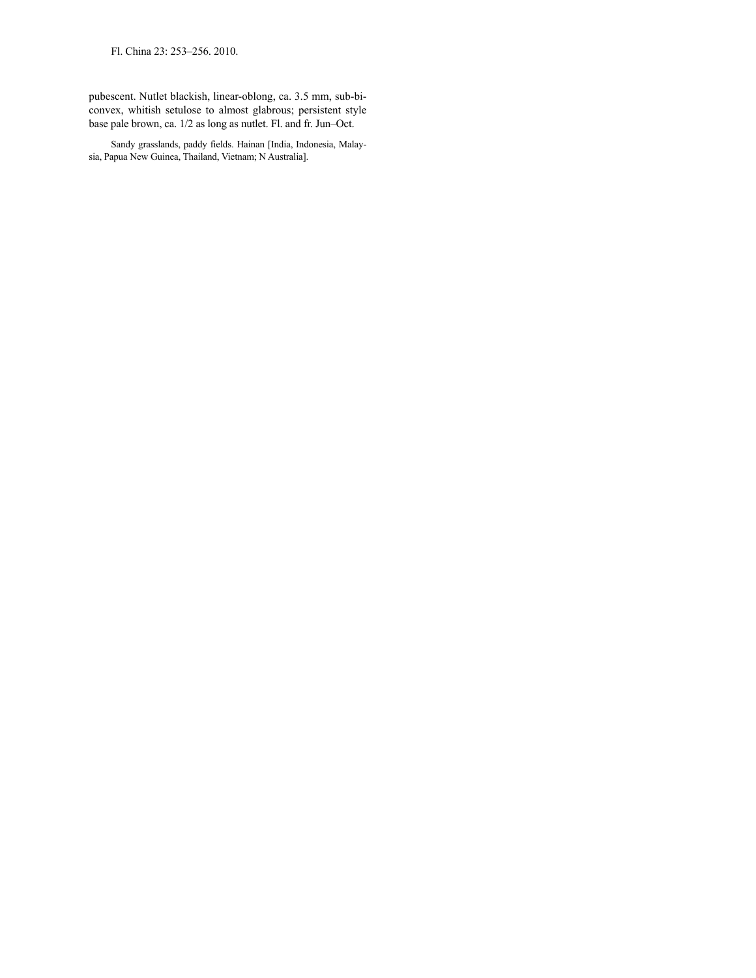Fl. China 23: 253–256. 2010.

pubescent. Nutlet blackish, linear-oblong, ca. 3.5 mm, sub-biconvex, whitish setulose to almost glabrous; persistent style base pale brown, ca. 1/2 as long as nutlet. Fl. and fr. Jun–Oct.

Sandy grasslands, paddy fields. Hainan [India, Indonesia, Malaysia, Papua New Guinea, Thailand, Vietnam; N Australia].